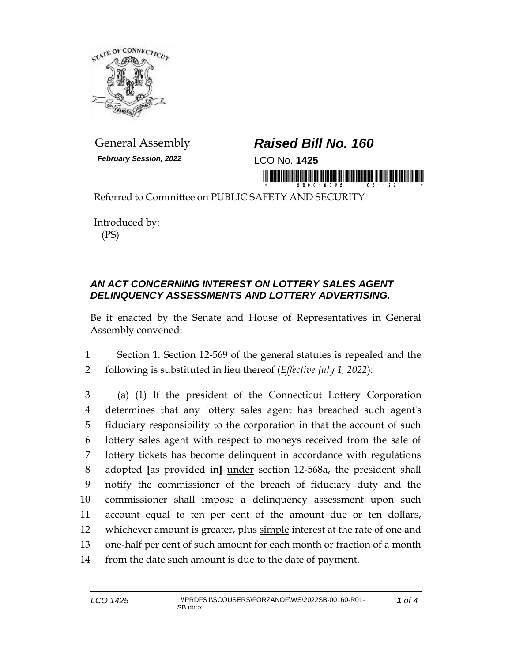

*February Session, 2022* LCO No. **1425**

## General Assembly *Raised Bill No. 160*

in mornik Kiriki Kiriki ina mai kiriki ina mani

Referred to Committee on PUBLIC SAFETY AND SECURITY

Introduced by: (PS)

## *AN ACT CONCERNING INTEREST ON LOTTERY SALES AGENT DELINQUENCY ASSESSMENTS AND LOTTERY ADVERTISING.*

Be it enacted by the Senate and House of Representatives in General Assembly convened:

1 Section 1. Section 12-569 of the general statutes is repealed and the 2 following is substituted in lieu thereof (*Effective July 1, 2022*):

 (a) (1) If the president of the Connecticut Lottery Corporation determines that any lottery sales agent has breached such agent's fiduciary responsibility to the corporation in that the account of such lottery sales agent with respect to moneys received from the sale of lottery tickets has become delinquent in accordance with regulations adopted **[**as provided in**]** under section 12-568a, the president shall notify the commissioner of the breach of fiduciary duty and the commissioner shall impose a delinquency assessment upon such account equal to ten per cent of the amount due or ten dollars, 12 whichever amount is greater, plus simple interest at the rate of one and one-half per cent of such amount for each month or fraction of a month from the date such amount is due to the date of payment.

*1 of 4*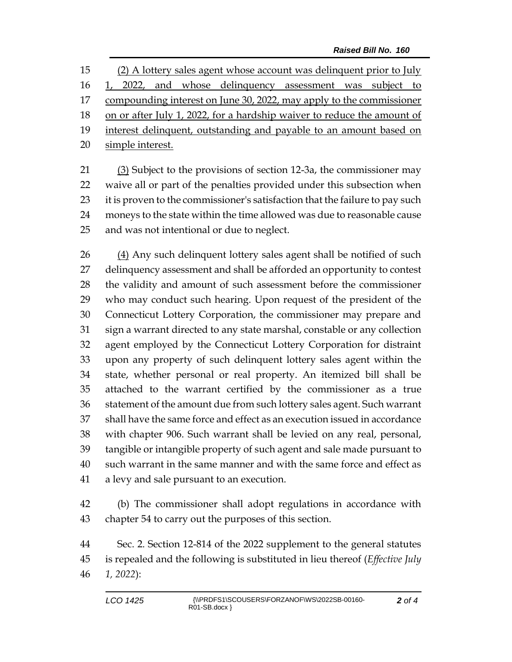(2) A lottery sales agent whose account was delinquent prior to July 1, 2022, and whose delinquency assessment was subject to 17 compounding interest on June 30, 2022, may apply to the commissioner 18 on or after July 1, 2022, for a hardship waiver to reduce the amount of 19 interest delinquent, outstanding and payable to an amount based on simple interest.

 (3) Subject to the provisions of section 12-3a, the commissioner may waive all or part of the penalties provided under this subsection when 23 it is proven to the commissioner's satisfaction that the failure to pay such moneys to the state within the time allowed was due to reasonable cause and was not intentional or due to neglect.

 (4) Any such delinquent lottery sales agent shall be notified of such delinquency assessment and shall be afforded an opportunity to contest the validity and amount of such assessment before the commissioner who may conduct such hearing. Upon request of the president of the Connecticut Lottery Corporation, the commissioner may prepare and sign a warrant directed to any state marshal, constable or any collection agent employed by the Connecticut Lottery Corporation for distraint upon any property of such delinquent lottery sales agent within the state, whether personal or real property. An itemized bill shall be attached to the warrant certified by the commissioner as a true statement of the amount due from such lottery sales agent. Such warrant shall have the same force and effect as an execution issued in accordance with chapter 906. Such warrant shall be levied on any real, personal, tangible or intangible property of such agent and sale made pursuant to such warrant in the same manner and with the same force and effect as a levy and sale pursuant to an execution.

 (b) The commissioner shall adopt regulations in accordance with chapter 54 to carry out the purposes of this section.

 Sec. 2. Section 12-814 of the 2022 supplement to the general statutes is repealed and the following is substituted in lieu thereof (*Effective July 1, 2022*):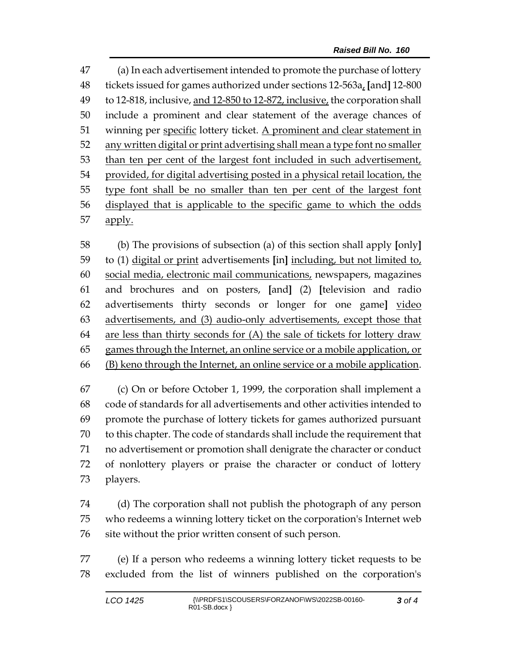(a) In each advertisement intended to promote the purchase of lottery tickets issued for games authorized under sections 12-563a, **[**and**]** 12-800 to 12-818, inclusive, and 12-850 to 12-872, inclusive, the corporation shall include a prominent and clear statement of the average chances of 51 winning per specific lottery ticket. A prominent and clear statement in any written digital or print advertising shall mean a type font no smaller than ten per cent of the largest font included in such advertisement, provided, for digital advertising posted in a physical retail location, the type font shall be no smaller than ten per cent of the largest font displayed that is applicable to the specific game to which the odds 57 apply.

 (b) The provisions of subsection (a) of this section shall apply **[**only**]** to (1) digital or print advertisements **[**in**]** including, but not limited to, social media, electronic mail communications, newspapers, magazines and brochures and on posters, **[**and**]** (2) **[**television and radio advertisements thirty seconds or longer for one game**]** video advertisements, and (3) audio-only advertisements, except those that are less than thirty seconds for (A) the sale of tickets for lottery draw games through the Internet, an online service or a mobile application, or (B) keno through the Internet, an online service or a mobile application.

 (c) On or before October 1, 1999, the corporation shall implement a code of standards for all advertisements and other activities intended to promote the purchase of lottery tickets for games authorized pursuant to this chapter. The code of standards shall include the requirement that no advertisement or promotion shall denigrate the character or conduct of nonlottery players or praise the character or conduct of lottery players.

 (d) The corporation shall not publish the photograph of any person who redeems a winning lottery ticket on the corporation's Internet web site without the prior written consent of such person.

 (e) If a person who redeems a winning lottery ticket requests to be excluded from the list of winners published on the corporation's